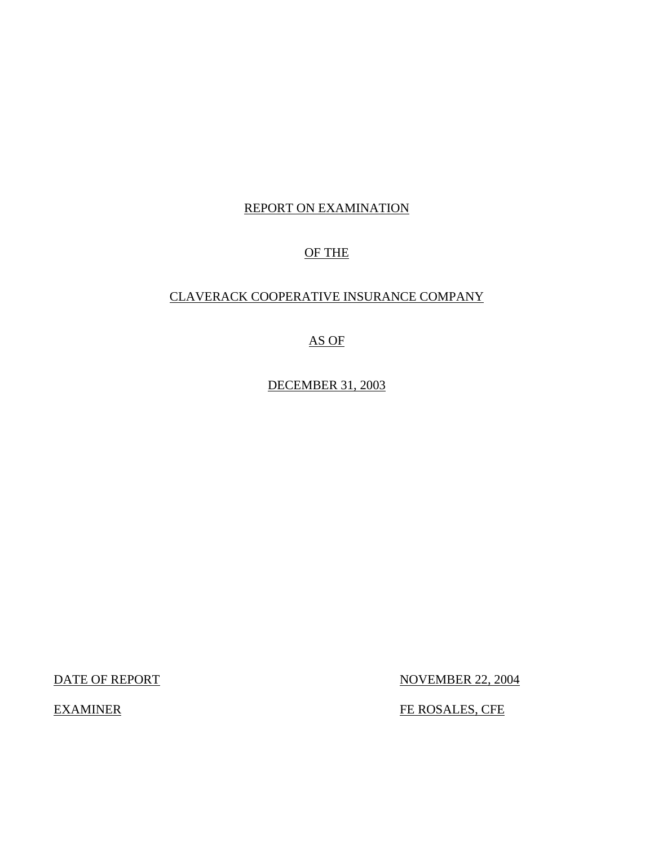# REPORT ON EXAMINATION

## OF THE

# CLAVERACK COOPERATIVE INSURANCE COMPANY

## AS OF

DECEMBER 31, 2003

DATE OF REPORT NOVEMBER 22, 2004

EXAMINER FE ROSALES, CFE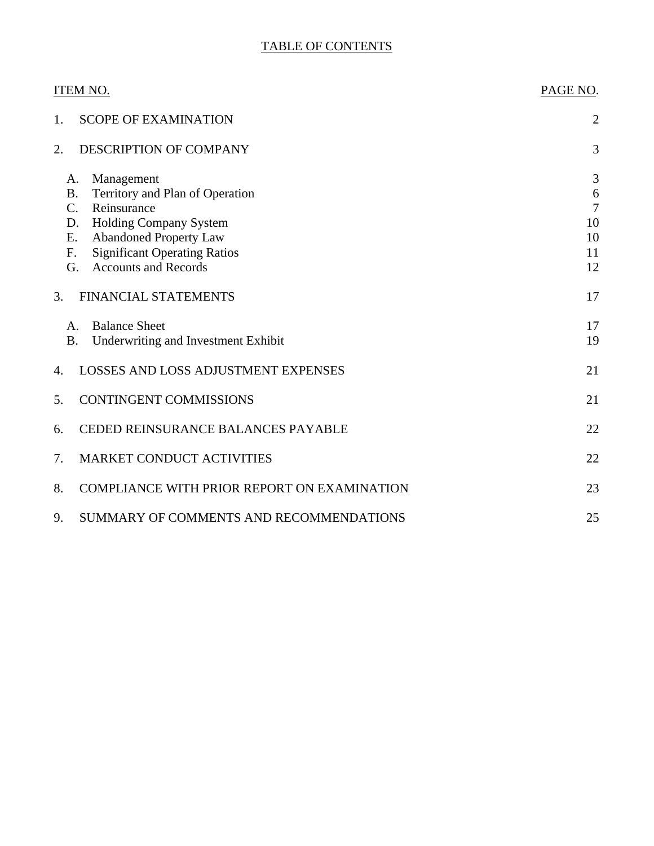# TABLE OF CONTENTS

| ITEM NO.                                                                                                                                                                                                                                                    | PAGE NO.                            |
|-------------------------------------------------------------------------------------------------------------------------------------------------------------------------------------------------------------------------------------------------------------|-------------------------------------|
| <b>SCOPE OF EXAMINATION</b><br>1.                                                                                                                                                                                                                           | $\overline{2}$                      |
| DESCRIPTION OF COMPANY<br>2.                                                                                                                                                                                                                                | 3                                   |
| Management<br>А.<br>Territory and Plan of Operation<br><b>B.</b><br>Reinsurance<br>$\mathcal{C}$ .<br>Holding Company System<br>D.<br><b>Abandoned Property Law</b><br>Ε.<br><b>Significant Operating Ratios</b><br>F.<br><b>Accounts and Records</b><br>G. | 3<br>6<br>7<br>10<br>10<br>11<br>12 |
| 3.<br>FINANCIAL STATEMENTS                                                                                                                                                                                                                                  | 17                                  |
| <b>Balance Sheet</b><br>A.<br><b>B.</b><br>Underwriting and Investment Exhibit                                                                                                                                                                              | 17<br>19                            |
| <b>LOSSES AND LOSS ADJUSTMENT EXPENSES</b><br>4.                                                                                                                                                                                                            | 21                                  |
| <b>CONTINGENT COMMISSIONS</b><br>5.                                                                                                                                                                                                                         | 21                                  |
| CEDED REINSURANCE BALANCES PAYABLE<br>6.                                                                                                                                                                                                                    | 22                                  |
| 7.<br><b>MARKET CONDUCT ACTIVITIES</b>                                                                                                                                                                                                                      | 22                                  |
| 8.<br>COMPLIANCE WITH PRIOR REPORT ON EXAMINATION                                                                                                                                                                                                           | 23                                  |
| 9.<br>SUMMARY OF COMMENTS AND RECOMMENDATIONS                                                                                                                                                                                                               | 25                                  |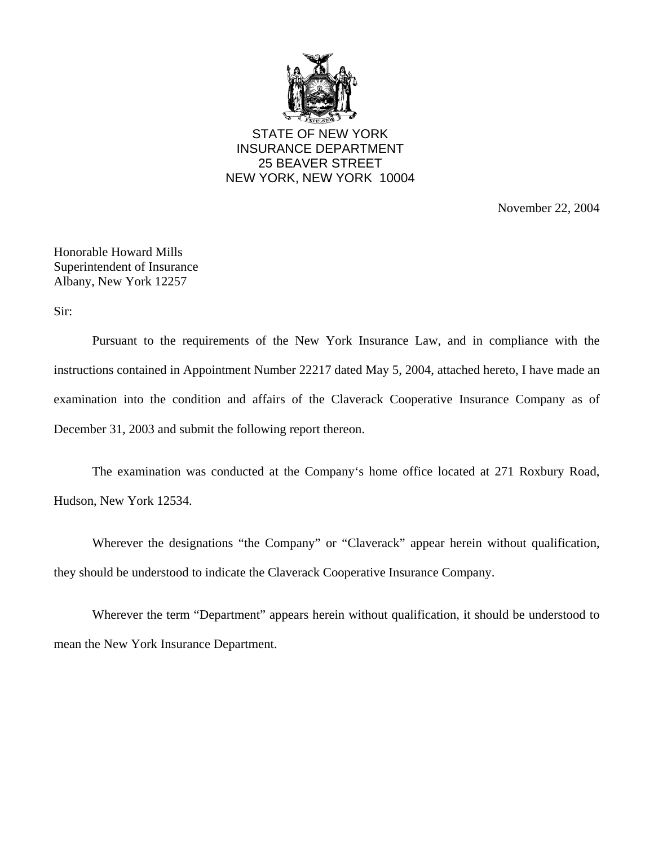

STATE OF NEW YORK INSURANCE DEPARTMENT 25 BEAVER STREET NEW YORK, NEW YORK 10004

November 22, 2004

Honorable Howard Mills Superintendent of Insurance Albany, New York 12257

Sir:

Pursuant to the requirements of the New York Insurance Law, and in compliance with the instructions contained in Appointment Number 22217 dated May 5, 2004, attached hereto, I have made an examination into the condition and affairs of the Claverack Cooperative Insurance Company as of December 31, 2003 and submit the following report thereon.

The examination was conducted at the Company's home office located at 271 Roxbury Road, Hudson, New York 12534.

Wherever the designations "the Company" or "Claverack" appear herein without qualification, they should be understood to indicate the Claverack Cooperative Insurance Company.

Wherever the term "Department" appears herein without qualification, it should be understood to mean the New York Insurance Department.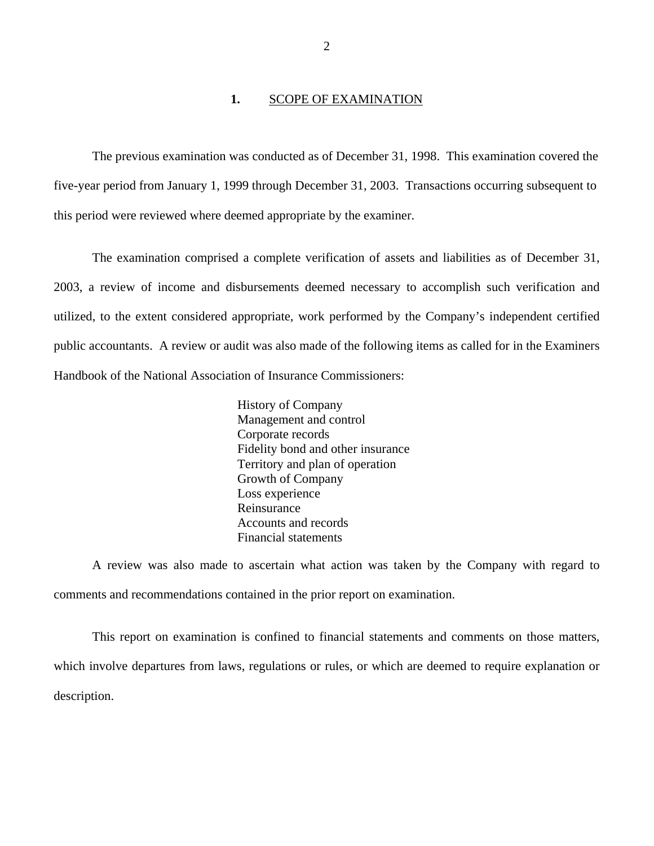### **1.** SCOPE OF EXAMINATION

<span id="page-3-0"></span>The previous examination was conducted as of December 31, 1998. This examination covered the five-year period from January 1, 1999 through December 31, 2003. Transactions occurring subsequent to this period were reviewed where deemed appropriate by the examiner.

The examination comprised a complete verification of assets and liabilities as of December 31, 2003, a review of income and disbursements deemed necessary to accomplish such verification and utilized, to the extent considered appropriate, work performed by the Company's independent certified public accountants. A review or audit was also made of the following items as called for in the Examiners Handbook of the National Association of Insurance Commissioners:

> History of Company Management and control Corporate records Fidelity bond and other insurance Territory and plan of operation Growth of Company Loss experience Reinsurance Accounts and records Financial statements

A review was also made to ascertain what action was taken by the Company with regard to comments and recommendations contained in the prior report on examination.

This report on examination is confined to financial statements and comments on those matters, which involve departures from laws, regulations or rules, or which are deemed to require explanation or description.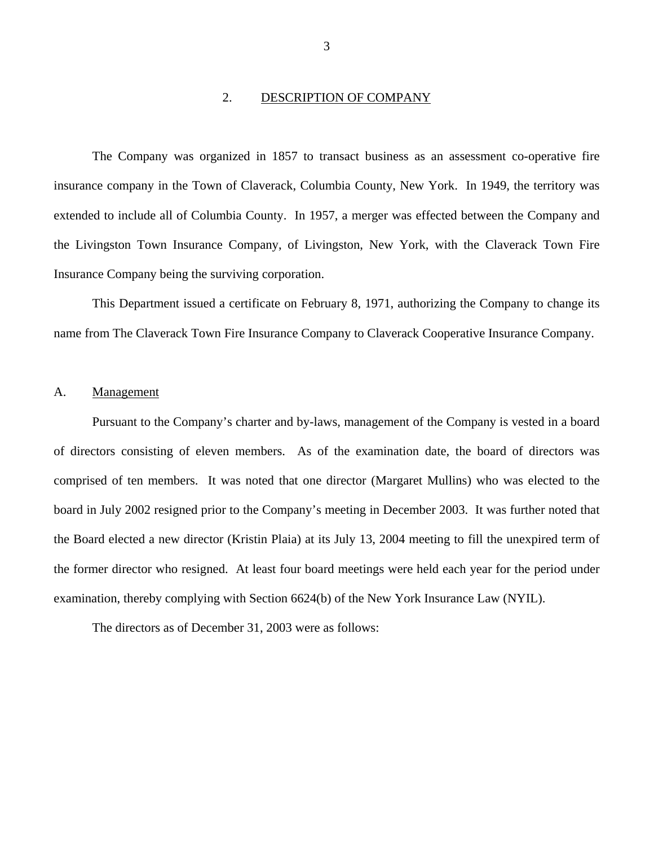### 2. DESCRIPTION OF COMPANY

<span id="page-4-0"></span>The Company was organized in 1857 to transact business as an assessment co-operative fire insurance company in the Town of Claverack, Columbia County, New York. In 1949, the territory was extended to include all of Columbia County. In 1957, a merger was effected between the Company and the Livingston Town Insurance Company, of Livingston, New York, with the Claverack Town Fire Insurance Company being the surviving corporation.

This Department issued a certificate on February 8, 1971, authorizing the Company to change its name from The Claverack Town Fire Insurance Company to Claverack Cooperative Insurance Company.

### A. Management

Pursuant to the Company's charter and by-laws, management of the Company is vested in a board of directors consisting of eleven members. As of the examination date, the board of directors was comprised of ten members. It was noted that one director (Margaret Mullins) who was elected to the board in July 2002 resigned prior to the Company's meeting in December 2003. It was further noted that the Board elected a new director (Kristin Plaia) at its July 13, 2004 meeting to fill the unexpired term of the former director who resigned. At least four board meetings were held each year for the period under examination, thereby complying with Section 6624(b) of the New York Insurance Law (NYIL).

The directors as of December 31, 2003 were as follows: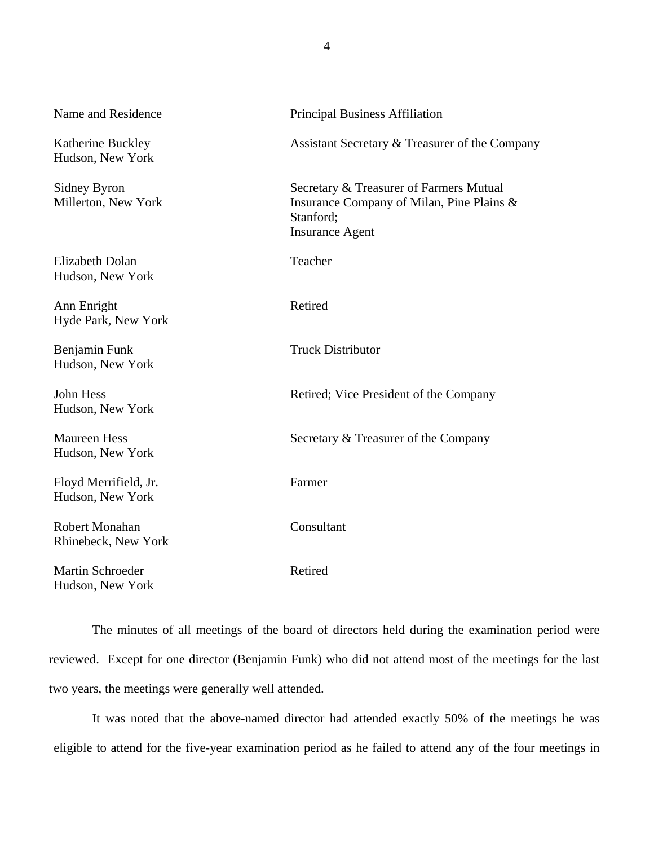| <b>Name and Residence</b>                  | <b>Principal Business Affiliation</b>                                                                                       |
|--------------------------------------------|-----------------------------------------------------------------------------------------------------------------------------|
| Katherine Buckley<br>Hudson, New York      | Assistant Secretary & Treasurer of the Company                                                                              |
| Sidney Byron<br>Millerton, New York        | Secretary & Treasurer of Farmers Mutual<br>Insurance Company of Milan, Pine Plains &<br>Stanford;<br><b>Insurance Agent</b> |
| <b>Elizabeth Dolan</b><br>Hudson, New York | Teacher                                                                                                                     |
| Ann Enright<br>Hyde Park, New York         | Retired                                                                                                                     |
| Benjamin Funk<br>Hudson, New York          | <b>Truck Distributor</b>                                                                                                    |
| John Hess<br>Hudson, New York              | Retired; Vice President of the Company                                                                                      |
| <b>Maureen Hess</b><br>Hudson, New York    | Secretary & Treasurer of the Company                                                                                        |
| Floyd Merrifield, Jr.<br>Hudson, New York  | Farmer                                                                                                                      |
| Robert Monahan<br>Rhinebeck, New York      | Consultant                                                                                                                  |
| Martin Schroeder<br>Hudson, New York       | Retired                                                                                                                     |

The minutes of all meetings of the board of directors held during the examination period were reviewed. Except for one director (Benjamin Funk) who did not attend most of the meetings for the last two years, the meetings were generally well attended.

It was noted that the above-named director had attended exactly 50% of the meetings he was eligible to attend for the five-year examination period as he failed to attend any of the four meetings in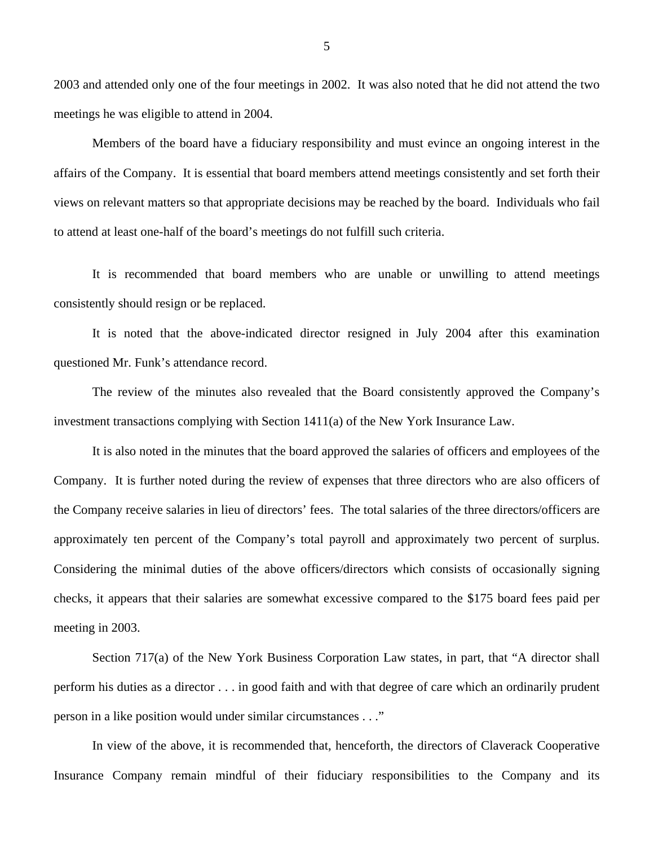2003 and attended only one of the four meetings in 2002. It was also noted that he did not attend the two meetings he was eligible to attend in 2004.

Members of the board have a fiduciary responsibility and must evince an ongoing interest in the affairs of the Company. It is essential that board members attend meetings consistently and set forth their views on relevant matters so that appropriate decisions may be reached by the board. Individuals who fail to attend at least one-half of the board's meetings do not fulfill such criteria.

It is recommended that board members who are unable or unwilling to attend meetings consistently should resign or be replaced.

It is noted that the above-indicated director resigned in July 2004 after this examination questioned Mr. Funk's attendance record.

The review of the minutes also revealed that the Board consistently approved the Company's investment transactions complying with Section 1411(a) of the New York Insurance Law.

It is also noted in the minutes that the board approved the salaries of officers and employees of the Company. It is further noted during the review of expenses that three directors who are also officers of the Company receive salaries in lieu of directors' fees. The total salaries of the three directors/officers are approximately ten percent of the Company's total payroll and approximately two percent of surplus. Considering the minimal duties of the above officers/directors which consists of occasionally signing checks, it appears that their salaries are somewhat excessive compared to the \$175 board fees paid per meeting in 2003.

Section 717(a) of the New York Business Corporation Law states, in part, that "A director shall perform his duties as a director . . . in good faith and with that degree of care which an ordinarily prudent person in a like position would under similar circumstances . . ."

In view of the above, it is recommended that, henceforth, the directors of Claverack Cooperative Insurance Company remain mindful of their fiduciary responsibilities to the Company and its

5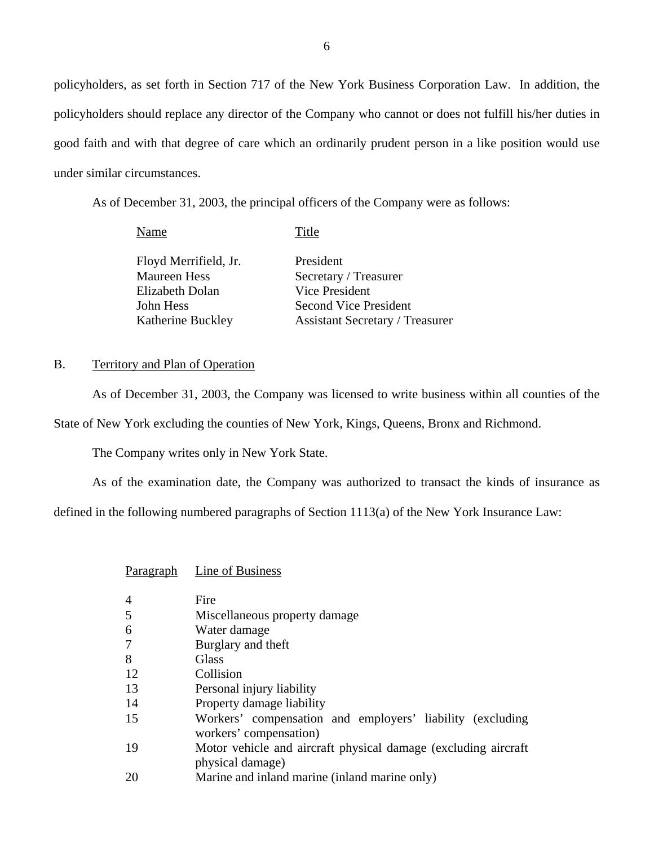<span id="page-7-0"></span>policyholders, as set forth in Section 717 of the New York Business Corporation Law. In addition, the policyholders should replace any director of the Company who cannot or does not fulfill his/her duties in good faith and with that degree of care which an ordinarily prudent person in a like position would use under similar circumstances.

As of December 31, 2003, the principal officers of the Company were as follows:

| Name                  | Title                                  |
|-----------------------|----------------------------------------|
| Floyd Merrifield, Jr. | President                              |
| <b>Maureen Hess</b>   | Secretary / Treasurer                  |
| Elizabeth Dolan       | Vice President                         |
| John Hess             | Second Vice President                  |
| Katherine Buckley     | <b>Assistant Secretary / Treasurer</b> |

### B. Territory and Plan of Operation

As of December 31, 2003, the Company was licensed to write business within all counties of the State of New York excluding the counties of New York, Kings, Queens, Bronx and Richmond.

The Company writes only in New York State.

As of the examination date, the Company was authorized to transact the kinds of insurance as

defined in the following numbered paragraphs of Section 1113(a) of the New York Insurance Law:

| Paragraph      | Line of Business                                                                    |
|----------------|-------------------------------------------------------------------------------------|
| $\overline{4}$ | Fire                                                                                |
| 5              | Miscellaneous property damage                                                       |
| 6              | Water damage                                                                        |
| $\overline{7}$ | Burglary and theft                                                                  |
| 8              | <b>Glass</b>                                                                        |
| 12             | Collision                                                                           |
| 13             | Personal injury liability                                                           |
| 14             | Property damage liability                                                           |
| 15             | Workers' compensation and employers' liability (excluding<br>workers' compensation) |
| 19             | Motor vehicle and aircraft physical damage (excluding aircraft)<br>physical damage) |
| 20             | Marine and inland marine (inland marine only)                                       |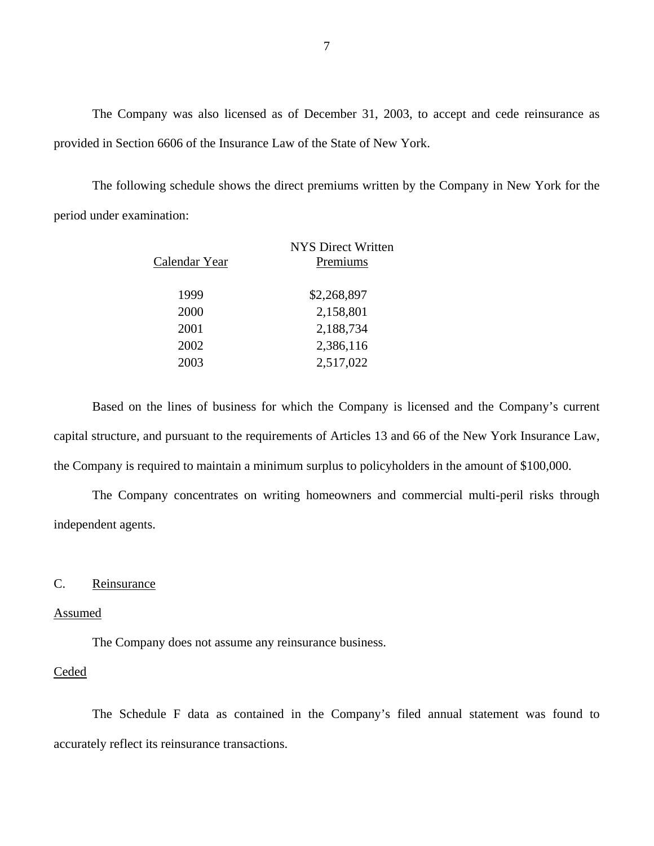The Company was also licensed as of December 31, 2003, to accept and cede reinsurance as provided in Section 6606 of the Insurance Law of the State of New York.

The following schedule shows the direct premiums written by the Company in New York for the period under examination:

| Calendar Year | NYS Direct Written<br>Premiums |
|---------------|--------------------------------|
| 1999          | \$2,268,897                    |
| 2000          | 2,158,801                      |
| 2001          | 2,188,734                      |
| 2002          | 2,386,116                      |
| 2003          | 2,517,022                      |
|               |                                |

Based on the lines of business for which the Company is licensed and the Company's current capital structure, and pursuant to the requirements of Articles 13 and 66 of the New York Insurance Law, the Company is required to maintain a minimum surplus to policyholders in the amount of \$100,000.

The Company concentrates on writing homeowners and commercial multi-peril risks through independent agents.

### C. Reinsurance

### Assumed

The Company does not assume any reinsurance business.

### **Ceded**

The Schedule F data as contained in the Company's filed annual statement was found to accurately reflect its reinsurance transactions.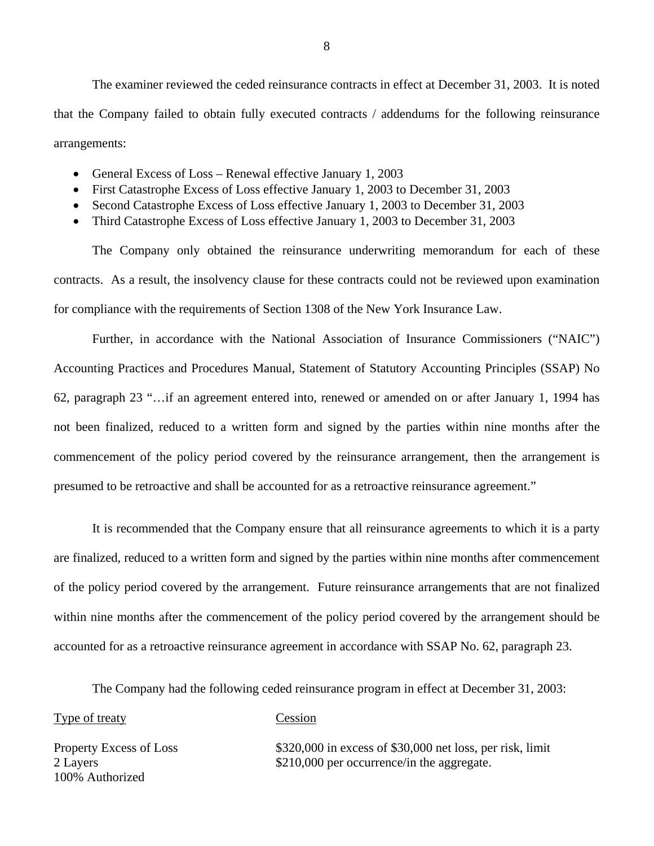The examiner reviewed the ceded reinsurance contracts in effect at December 31, 2003. It is noted that the Company failed to obtain fully executed contracts / addendums for the following reinsurance arrangements:

- General Excess of Loss Renewal effective January 1, 2003
- First Catastrophe Excess of Loss effective January 1, 2003 to December 31, 2003
- Second Catastrophe Excess of Loss effective January 1, 2003 to December 31, 2003
- Third Catastrophe Excess of Loss effective January 1, 2003 to December 31, 2003

The Company only obtained the reinsurance underwriting memorandum for each of these contracts. As a result, the insolvency clause for these contracts could not be reviewed upon examination for compliance with the requirements of Section 1308 of the New York Insurance Law.

Further, in accordance with the National Association of Insurance Commissioners ("NAIC") Accounting Practices and Procedures Manual, Statement of Statutory Accounting Principles (SSAP) No 62, paragraph 23 "…if an agreement entered into, renewed or amended on or after January 1, 1994 has not been finalized, reduced to a written form and signed by the parties within nine months after the commencement of the policy period covered by the reinsurance arrangement, then the arrangement is presumed to be retroactive and shall be accounted for as a retroactive reinsurance agreement."

It is recommended that the Company ensure that all reinsurance agreements to which it is a party are finalized, reduced to a written form and signed by the parties within nine months after commencement of the policy period covered by the arrangement. Future reinsurance arrangements that are not finalized within nine months after the commencement of the policy period covered by the arrangement should be accounted for as a retroactive reinsurance agreement in accordance with SSAP No. 62, paragraph 23.

The Company had the following ceded reinsurance program in effect at December 31, 2003:

### Type of treaty Cession

100% Authorized

Property Excess of Loss \$320,000 in excess of \$30,000 net loss, per risk, limit 2 Layers \$210,000 per occurrence/in the aggregate.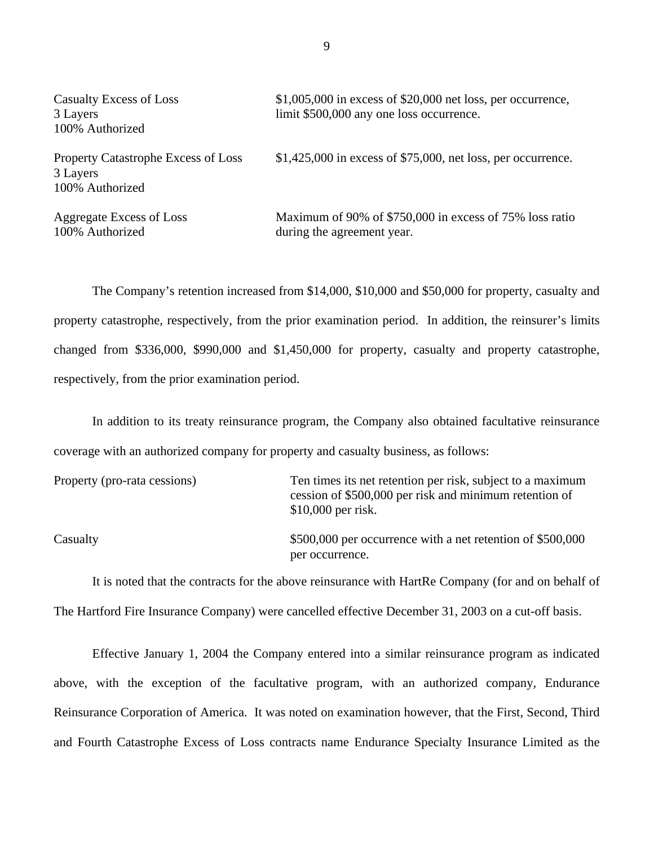| <b>Casualty Excess of Loss</b><br>3 Layers<br>100% Authorized      | $$1,005,000$ in excess of \$20,000 net loss, per occurrence,<br>limit \$500,000 any one loss occurrence. |
|--------------------------------------------------------------------|----------------------------------------------------------------------------------------------------------|
| Property Catastrophe Excess of Loss<br>3 Layers<br>100% Authorized | $$1,425,000$ in excess of \$75,000, net loss, per occurrence.                                            |
| Aggregate Excess of Loss<br>100% Authorized                        | Maximum of 90% of \$750,000 in excess of 75% loss ratio<br>during the agreement year.                    |

The Company's retention increased from \$14,000, \$10,000 and \$50,000 for property, casualty and property catastrophe, respectively, from the prior examination period. In addition, the reinsurer's limits changed from \$336,000, \$990,000 and \$1,450,000 for property, casualty and property catastrophe, respectively, from the prior examination period.

In addition to its treaty reinsurance program, the Company also obtained facultative reinsurance coverage with an authorized company for property and casualty business, as follows:

| Property (pro-rata cessions) | Ten times its net retention per risk, subject to a maximum<br>cession of \$500,000 per risk and minimum retention of<br>$$10,000$ per risk. |
|------------------------------|---------------------------------------------------------------------------------------------------------------------------------------------|
| Casualty                     | \$500,000 per occurrence with a net retention of \$500,000<br>per occurrence.                                                               |

It is noted that the contracts for the above reinsurance with HartRe Company (for and on behalf of The Hartford Fire Insurance Company) were cancelled effective December 31, 2003 on a cut-off basis.

Effective January 1, 2004 the Company entered into a similar reinsurance program as indicated above, with the exception of the facultative program, with an authorized company, Endurance Reinsurance Corporation of America. It was noted on examination however, that the First, Second, Third and Fourth Catastrophe Excess of Loss contracts name Endurance Specialty Insurance Limited as the

9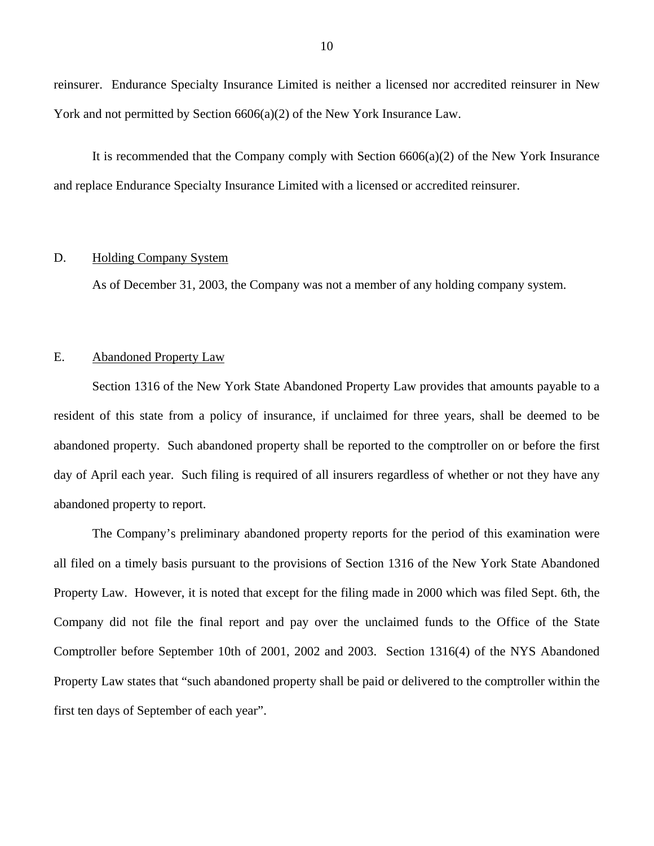<span id="page-11-0"></span>reinsurer. Endurance Specialty Insurance Limited is neither a licensed nor accredited reinsurer in New York and not permitted by Section 6606(a)(2) of the New York Insurance Law.

It is recommended that the Company comply with Section 6606(a)(2) of the New York Insurance and replace Endurance Specialty Insurance Limited with a licensed or accredited reinsurer.

### D. Holding Company System

As of December 31, 2003, the Company was not a member of any holding company system.

### E. Abandoned Property Law

Section 1316 of the New York State Abandoned Property Law provides that amounts payable to a resident of this state from a policy of insurance, if unclaimed for three years, shall be deemed to be abandoned property. Such abandoned property shall be reported to the comptroller on or before the first day of April each year. Such filing is required of all insurers regardless of whether or not they have any abandoned property to report.

The Company's preliminary abandoned property reports for the period of this examination were all filed on a timely basis pursuant to the provisions of Section 1316 of the New York State Abandoned Property Law. However, it is noted that except for the filing made in 2000 which was filed Sept. 6th, the Company did not file the final report and pay over the unclaimed funds to the Office of the State Comptroller before September 10th of 2001, 2002 and 2003. Section 1316(4) of the NYS Abandoned Property Law states that "such abandoned property shall be paid or delivered to the comptroller within the first ten days of September of each year".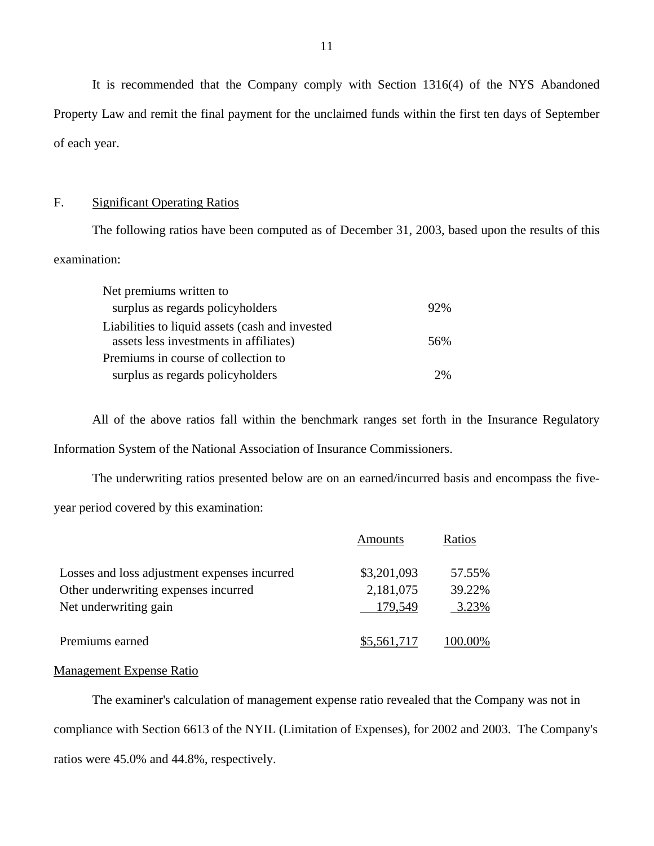It is recommended that the Company comply with Section 1316(4) of the NYS Abandoned Property Law and remit the final payment for the unclaimed funds within the first ten days of September of each year.

## F. Significant Operating Ratios

The following ratios have been computed as of December 31, 2003, based upon the results of this examination:

| Net premiums written to                                                                   |     |
|-------------------------------------------------------------------------------------------|-----|
| surplus as regards policyholders                                                          | 92% |
| Liabilities to liquid assets (cash and invested<br>assets less investments in affiliates) | 56% |
| Premiums in course of collection to                                                       |     |
| surplus as regards policyholders                                                          | 2%  |

All of the above ratios fall within the benchmark ranges set forth in the Insurance Regulatory Information System of the National Association of Insurance Commissioners.

The underwriting ratios presented below are on an earned/incurred basis and encompass the fiveyear period covered by this examination:

|                                              | Amounts     | Ratios      |
|----------------------------------------------|-------------|-------------|
| Losses and loss adjustment expenses incurred | \$3,201,093 | 57.55%      |
| Other underwriting expenses incurred         | 2,181,075   | 39.22%      |
| Net underwriting gain                        | 179,549     | 3.23%       |
| Premiums earned                              | \$5,561,717 | $(00.00\%)$ |

### Management Expense Ratio

The examiner's calculation of management expense ratio revealed that the Company was not in compliance with Section 6613 of the NYIL (Limitation of Expenses), for 2002 and 2003. The Company's ratios were 45.0% and 44.8%, respectively.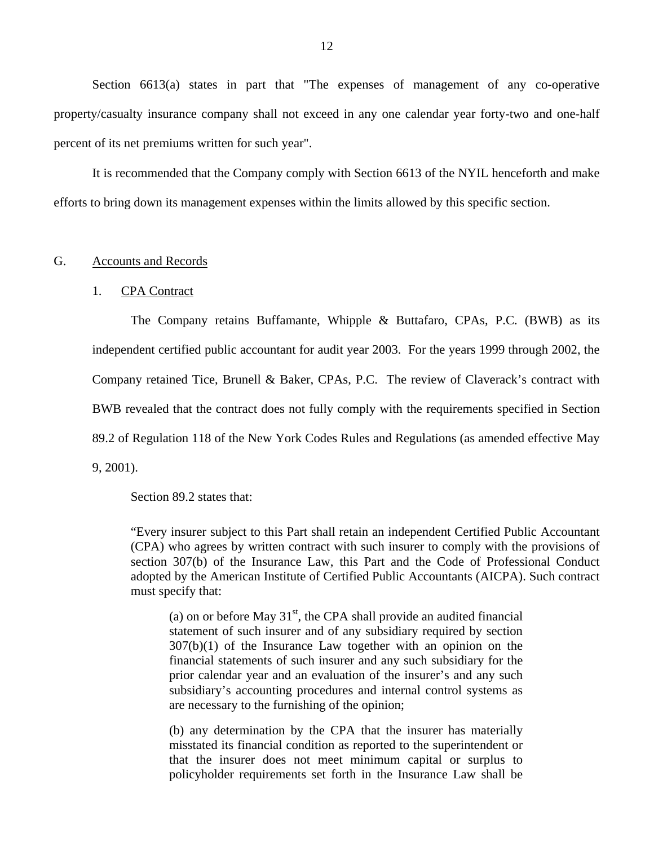<span id="page-13-0"></span>Section 6613(a) states in part that "The expenses of management of any co-operative property/casualty insurance company shall not exceed in any one calendar year forty-two and one-half percent of its net premiums written for such year".

It is recommended that the Company comply with Section 6613 of the NYIL henceforth and make efforts to bring down its management expenses within the limits allowed by this specific section.

### G. Accounts and Records

### 1. CPA Contract

The Company retains Buffamante, Whipple & Buttafaro, CPAs, P.C. (BWB) as its independent certified public accountant for audit year 2003. For the years 1999 through 2002, the Company retained Tice, Brunell & Baker, CPAs, P.C. The review of Claverack's contract with BWB revealed that the contract does not fully comply with the requirements specified in Section 89.2 of Regulation 118 of the New York Codes Rules and Regulations (as amended effective May 9, 2001).

Section 89.2 states that:

"Every insurer subject to this Part shall retain an independent Certified Public Accountant (CPA) who agrees by written contract with such insurer to comply with the provisions of section 307(b) of the Insurance Law, this Part and the Code of Professional Conduct adopted by the American Institute of Certified Public Accountants (AICPA). Such contract must specify that:

(a) on or before May  $31<sup>st</sup>$ , the CPA shall provide an audited financial statement of such insurer and of any subsidiary required by section  $307(b)(1)$  of the Insurance Law together with an opinion on the financial statements of such insurer and any such subsidiary for the prior calendar year and an evaluation of the insurer's and any such subsidiary's accounting procedures and internal control systems as are necessary to the furnishing of the opinion;

(b) any determination by the CPA that the insurer has materially misstated its financial condition as reported to the superintendent or that the insurer does not meet minimum capital or surplus to policyholder requirements set forth in the Insurance Law shall be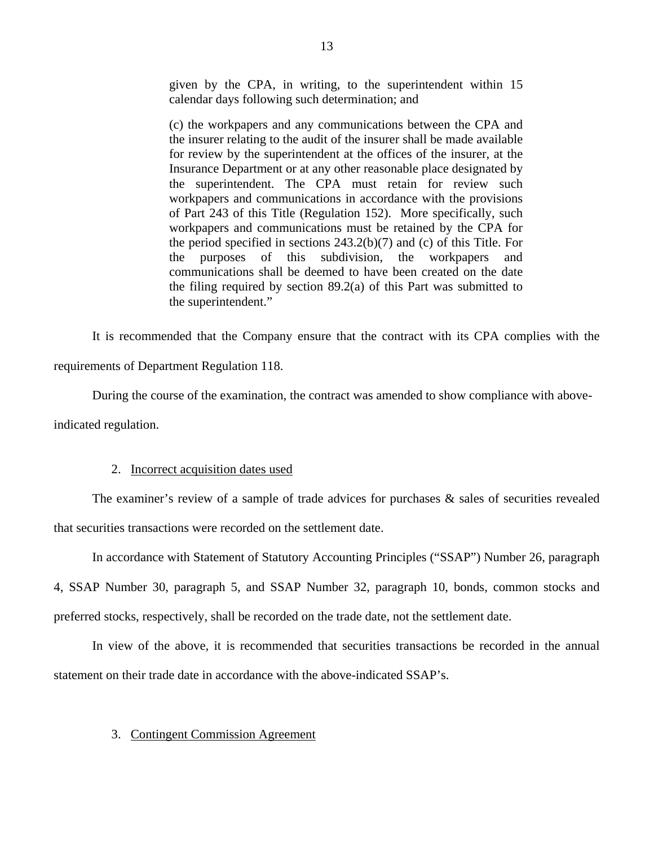given by the CPA, in writing, to the superintendent within 15 calendar days following such determination; and

(c) the workpapers and any communications between the CPA and the insurer relating to the audit of the insurer shall be made available for review by the superintendent at the offices of the insurer, at the Insurance Department or at any other reasonable place designated by the superintendent. The CPA must retain for review such workpapers and communications in accordance with the provisions of Part 243 of this Title (Regulation 152). More specifically, such workpapers and communications must be retained by the CPA for the period specified in sections 243.2(b)(7) and (c) of this Title. For the purposes of this subdivision, the workpapers and communications shall be deemed to have been created on the date the filing required by section 89.2(a) of this Part was submitted to the superintendent."

It is recommended that the Company ensure that the contract with its CPA complies with the requirements of Department Regulation 118.

During the course of the examination, the contract was amended to show compliance with aboveindicated regulation.

### 2. Incorrect acquisition dates used

The examiner's review of a sample of trade advices for purchases & sales of securities revealed that securities transactions were recorded on the settlement date.

In accordance with Statement of Statutory Accounting Principles ("SSAP") Number 26, paragraph 4, SSAP Number 30, paragraph 5, and SSAP Number 32, paragraph 10, bonds, common stocks and preferred stocks, respectively, shall be recorded on the trade date, not the settlement date.

In view of the above, it is recommended that securities transactions be recorded in the annual statement on their trade date in accordance with the above-indicated SSAP's.

### 3. Contingent Commission Agreement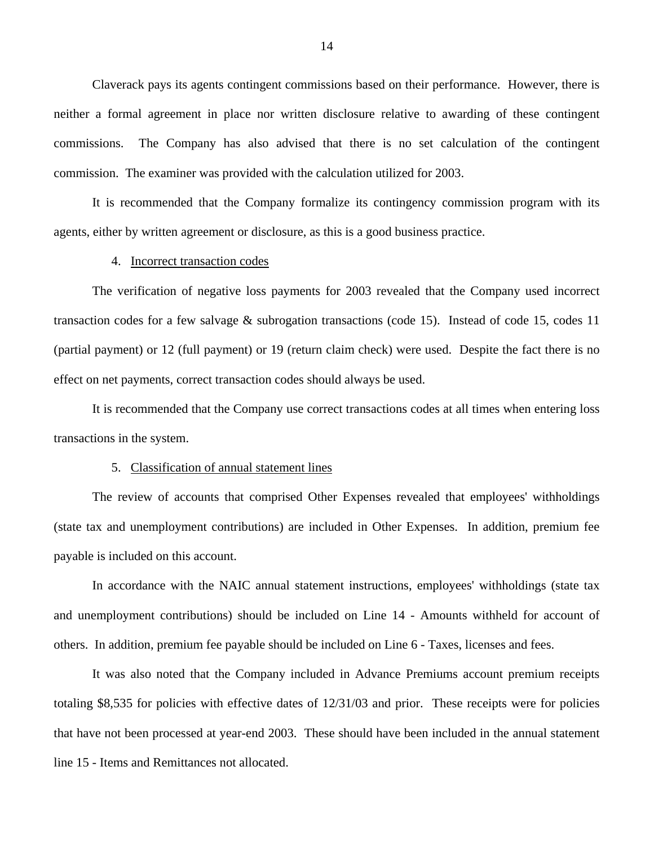Claverack pays its agents contingent commissions based on their performance. However, there is neither a formal agreement in place nor written disclosure relative to awarding of these contingent commissions. The Company has also advised that there is no set calculation of the contingent commission. The examiner was provided with the calculation utilized for 2003.

It is recommended that the Company formalize its contingency commission program with its agents, either by written agreement or disclosure, as this is a good business practice.

### 4. Incorrect transaction codes

The verification of negative loss payments for 2003 revealed that the Company used incorrect transaction codes for a few salvage & subrogation transactions (code 15). Instead of code 15, codes 11 (partial payment) or 12 (full payment) or 19 (return claim check) were used. Despite the fact there is no effect on net payments, correct transaction codes should always be used.

It is recommended that the Company use correct transactions codes at all times when entering loss transactions in the system.

### 5. Classification of annual statement lines

The review of accounts that comprised Other Expenses revealed that employees' withholdings (state tax and unemployment contributions) are included in Other Expenses. In addition, premium fee payable is included on this account.

In accordance with the NAIC annual statement instructions, employees' withholdings (state tax and unemployment contributions) should be included on Line 14 - Amounts withheld for account of others. In addition, premium fee payable should be included on Line 6 - Taxes, licenses and fees.

It was also noted that the Company included in Advance Premiums account premium receipts totaling \$8,535 for policies with effective dates of 12/31/03 and prior. These receipts were for policies that have not been processed at year-end 2003. These should have been included in the annual statement line 15 - Items and Remittances not allocated.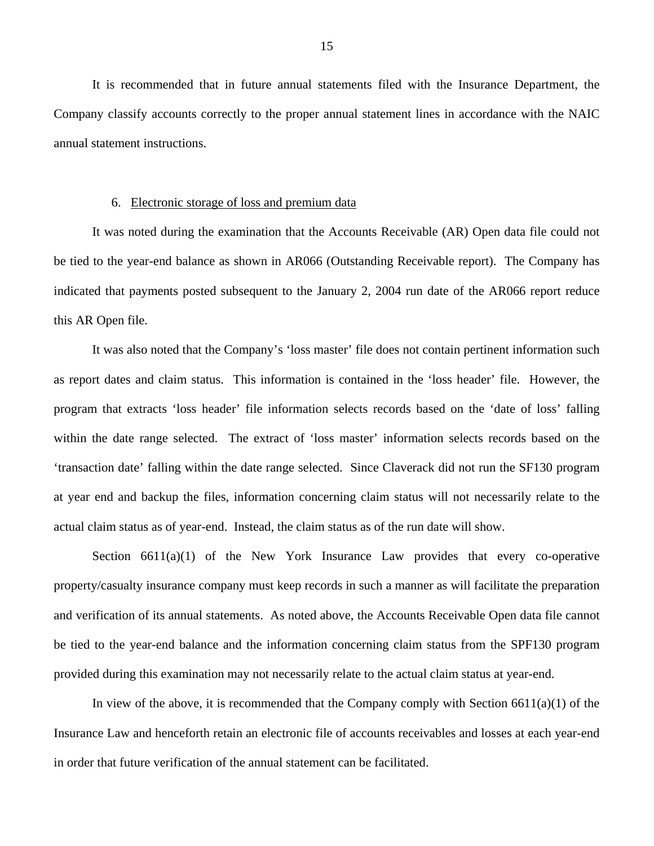It is recommended that in future annual statements filed with the Insurance Department, the Company classify accounts correctly to the proper annual statement lines in accordance with the NAIC annual statement instructions.

#### 6. Electronic storage of loss and premium data

It was noted during the examination that the Accounts Receivable (AR) Open data file could not be tied to the year-end balance as shown in AR066 (Outstanding Receivable report). The Company has indicated that payments posted subsequent to the January 2, 2004 run date of the AR066 report reduce this AR Open file.

It was also noted that the Company's 'loss master' file does not contain pertinent information such as report dates and claim status. This information is contained in the 'loss header' file. However, the program that extracts 'loss header' file information selects records based on the 'date of loss' falling within the date range selected. The extract of 'loss master' information selects records based on the 'transaction date' falling within the date range selected. Since Claverack did not run the SF130 program at year end and backup the files, information concerning claim status will not necessarily relate to the actual claim status as of year-end. Instead, the claim status as of the run date will show.

Section  $6611(a)(1)$  of the New York Insurance Law provides that every co-operative property/casualty insurance company must keep records in such a manner as will facilitate the preparation and verification of its annual statements. As noted above, the Accounts Receivable Open data file cannot be tied to the year-end balance and the information concerning claim status from the SPF130 program provided during this examination may not necessarily relate to the actual claim status at year-end.

In view of the above, it is recommended that the Company comply with Section  $6611(a)(1)$  of the Insurance Law and henceforth retain an electronic file of accounts receivables and losses at each year-end in order that future verification of the annual statement can be facilitated.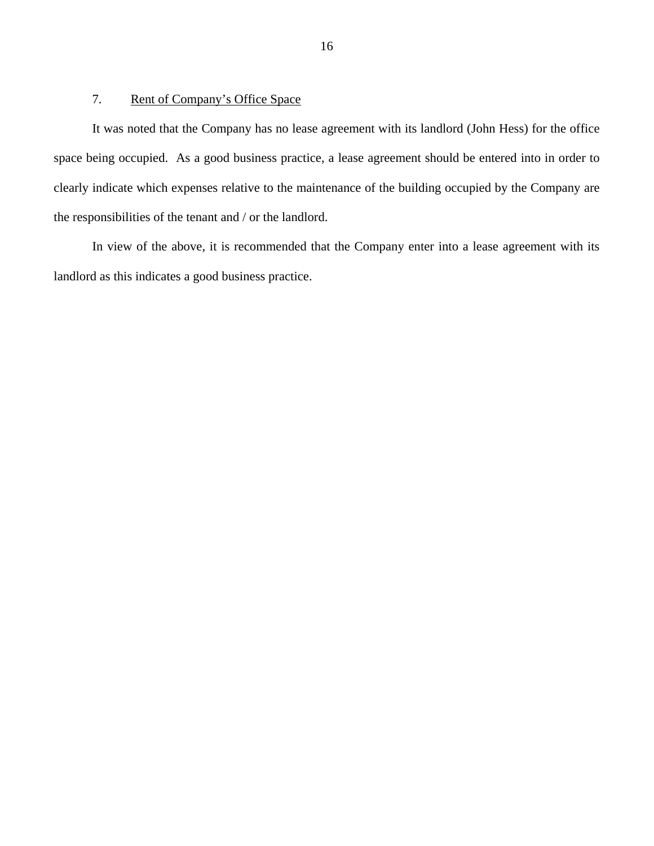### 7. Rent of Company's Office Space

It was noted that the Company has no lease agreement with its landlord (John Hess) for the office space being occupied. As a good business practice, a lease agreement should be entered into in order to clearly indicate which expenses relative to the maintenance of the building occupied by the Company are the responsibilities of the tenant and / or the landlord.

In view of the above, it is recommended that the Company enter into a lease agreement with its landlord as this indicates a good business practice.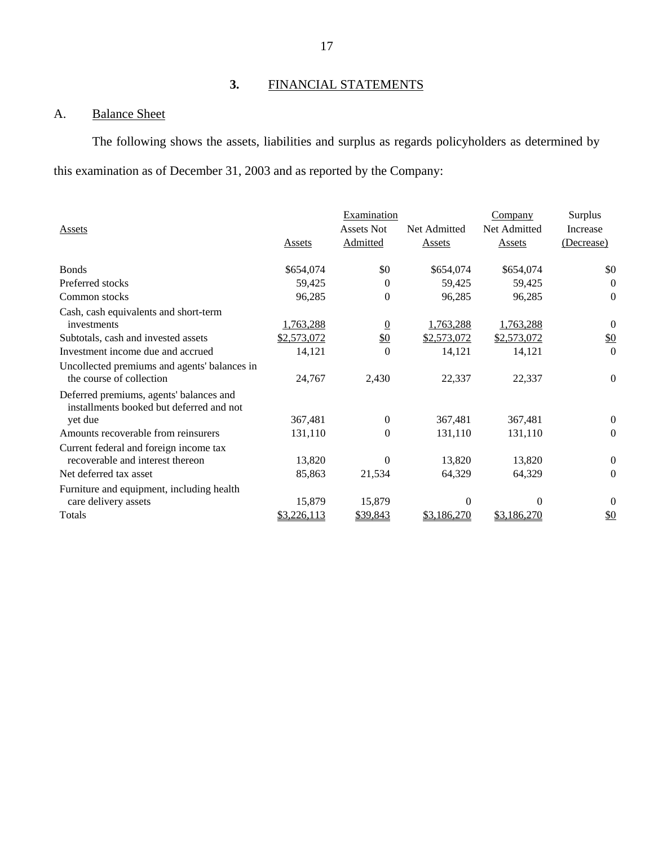# **3.** FINANCIAL STATEMENTS

# A. Balance Sheet

The following shows the assets, liabilities and surplus as regards policyholders as determined by this examination as of December 31, 2003 and as reported by the Company:

|                                                                                     |             | Examination       |              | Company      | Surplus          |
|-------------------------------------------------------------------------------------|-------------|-------------------|--------------|--------------|------------------|
| <b>Assets</b>                                                                       |             | <b>Assets Not</b> | Net Admitted | Net Admitted | Increase         |
|                                                                                     | Assets      | Admitted          | Assets       | Assets       | (Decrease)       |
| <b>Bonds</b>                                                                        | \$654,074   | \$0               | \$654,074    | \$654,074    | \$0              |
| Preferred stocks                                                                    | 59,425      | $\Omega$          | 59,425       | 59,425       | $\mathbf{0}$     |
| Common stocks                                                                       | 96,285      | $\theta$          | 96,285       | 96,285       | $\mathbf{0}$     |
| Cash, cash equivalents and short-term                                               |             |                   |              |              |                  |
| investments                                                                         | 1,763,288   | $\overline{0}$    | 1,763,288    | 1,763,288    | $\boldsymbol{0}$ |
| Subtotals, cash and invested assets                                                 | \$2,573,072 | $\frac{$0}{}$     | \$2,573,072  | \$2,573,072  | \$0              |
| Investment income due and accrued                                                   | 14,121      | $\Omega$          | 14,121       | 14,121       | $\Omega$         |
| Uncollected premiums and agents' balances in<br>the course of collection            | 24,767      | 2,430             | 22,337       | 22,337       | $\overline{0}$   |
| Deferred premiums, agents' balances and<br>installments booked but deferred and not |             |                   |              |              |                  |
| yet due                                                                             | 367,481     | $\overline{0}$    | 367,481      | 367,481      | $\boldsymbol{0}$ |
| Amounts recoverable from reinsurers                                                 | 131,110     | $\Omega$          | 131,110      | 131,110      | $\mathbf{0}$     |
| Current federal and foreign income tax                                              |             |                   |              |              |                  |
| recoverable and interest thereon                                                    | 13,820      | 0                 | 13,820       | 13,820       | $\boldsymbol{0}$ |
| Net deferred tax asset                                                              | 85,863      | 21,534            | 64,329       | 64,329       | $\overline{0}$   |
| Furniture and equipment, including health<br>care delivery assets                   | 15,879      | 15,879            | $\Omega$     | $\Omega$     | $\theta$         |
| Totals                                                                              | \$3,226,113 | \$39,843          | \$3,186,270  | \$3,186,270  | $\frac{$0}{}$    |
|                                                                                     |             |                   |              |              |                  |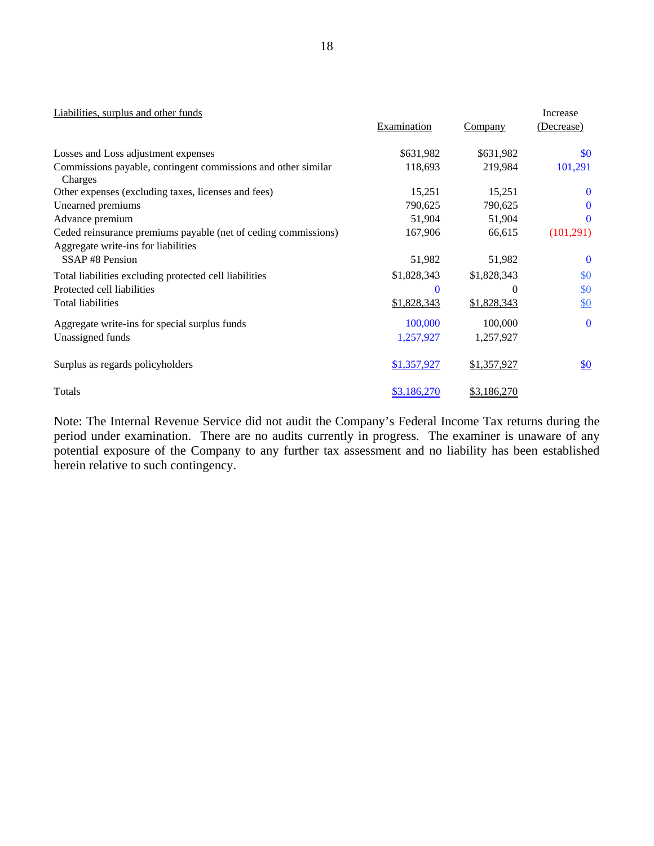| Liabilities, surplus and other funds                                     |             |                | Increase          |
|--------------------------------------------------------------------------|-------------|----------------|-------------------|
|                                                                          | Examination | <b>Company</b> | (Decrease)        |
| Losses and Loss adjustment expenses                                      | \$631,982   | \$631,982      | \$0               |
| Commissions payable, contingent commissions and other similar<br>Charges | 118,693     | 219,984        | 101,291           |
| Other expenses (excluding taxes, licenses and fees)                      | 15,251      | 15,251         | $\bf{0}$          |
| Unearned premiums                                                        | 790,625     | 790,625        | $\bf{0}$          |
| Advance premium                                                          | 51,904      | 51,904         | $\mathbf{0}$      |
| Ceded reinsurance premiums payable (net of ceding commissions)           | 167,906     | 66,615         | (101,291)         |
| Aggregate write-ins for liabilities                                      |             |                |                   |
| SSAP#8 Pension                                                           | 51,982      | 51,982         | $\bf{0}$          |
| Total liabilities excluding protected cell liabilities                   | \$1,828,343 | \$1,828,343    | \$0               |
| Protected cell liabilities                                               | $\Omega$    | $\theta$       | \$0               |
| Total liabilities                                                        | \$1,828,343 | \$1,828,343    | $\underline{\$0}$ |
| Aggregate write-ins for special surplus funds                            | 100,000     | 100,000        | $\mathbf{0}$      |
| Unassigned funds                                                         | 1,257,927   | 1,257,927      |                   |
| Surplus as regards policyholders                                         | \$1,357,927 | \$1,357,927    | $\underline{\$0}$ |
| Totals                                                                   | \$3,186,270 | \$3,186,270    |                   |

Note: The Internal Revenue Service did not audit the Company's Federal Income Tax returns during the period under examination. There are no audits currently in progress. The examiner is unaware of any potential exposure of the Company to any further tax assessment and no liability has been established herein relative to such contingency.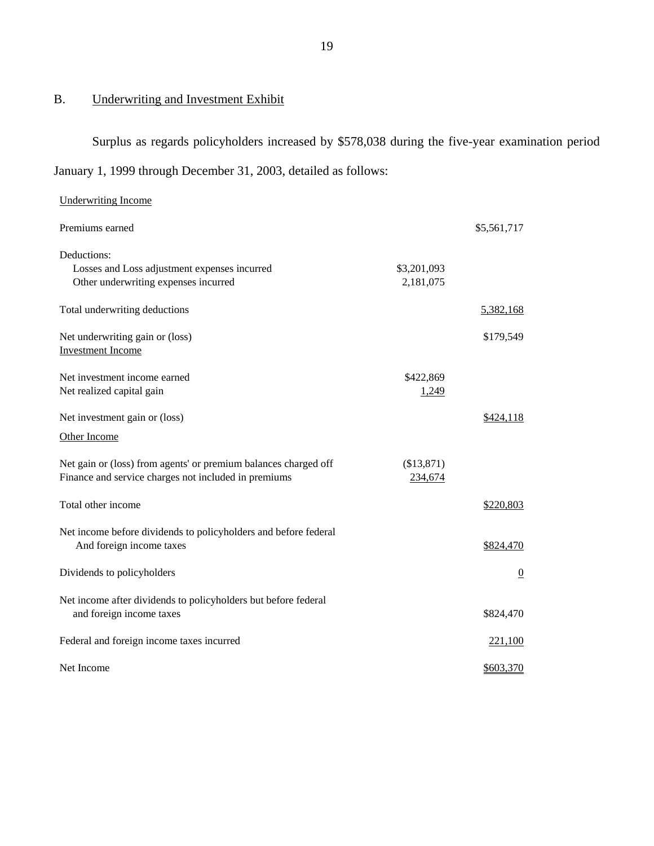# B. Underwriting and Investment Exhibit

**Underwriting Income** 

Surplus as regards policyholders increased by \$578,038 during the five-year examination period January 1, 1999 through December 31, 2003, detailed as follows:

|             | \$5,561,717    |
|-------------|----------------|
|             |                |
| \$3,201,093 |                |
| 2,181,075   |                |
|             | 5,382,168      |
|             | \$179,549      |
|             |                |
| \$422,869   |                |
| 1,249       |                |
|             | \$424,118      |
|             |                |
| (\$13,871)  |                |
| 234,674     |                |
|             | \$220,803      |
|             |                |
|             | \$824,470      |
|             | $\overline{0}$ |
|             |                |
|             | \$824,470      |
|             | 221,100        |
|             | \$603,370      |
|             |                |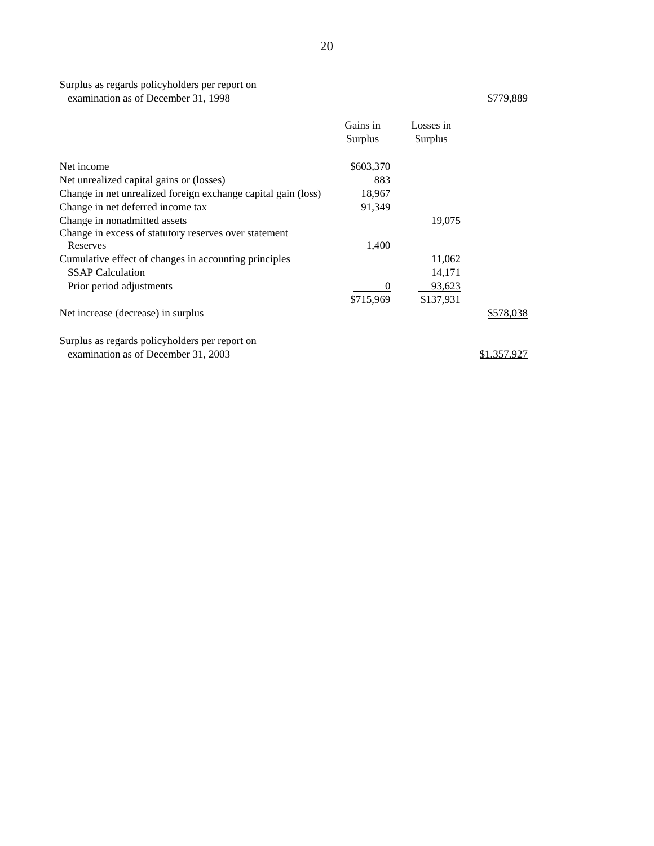|                                                                                  | Gains in<br><b>Surplus</b> | Losses in<br><b>Surplus</b> |           |
|----------------------------------------------------------------------------------|----------------------------|-----------------------------|-----------|
| Net income                                                                       | \$603,370                  |                             |           |
| Net unrealized capital gains or (losses)                                         | 883                        |                             |           |
| Change in net unrealized foreign exchange capital gain (loss)                    | 18,967                     |                             |           |
| Change in net deferred income tax                                                | 91,349                     |                             |           |
| Change in nonadmitted assets                                                     |                            | 19,075                      |           |
| Change in excess of statutory reserves over statement<br>Reserves                | 1,400                      |                             |           |
| Cumulative effect of changes in accounting principles<br><b>SSAP</b> Calculation |                            | 11,062<br>14,171            |           |
| Prior period adjustments                                                         | 0<br>\$715,969             | 93,623<br>\$137,931         |           |
| Net increase (decrease) in surplus                                               |                            |                             | \$578,038 |
| Surplus as regards policyholders per report on                                   |                            |                             |           |

examination as of December 31, 2003  $\frac{$1,357,927}{2}$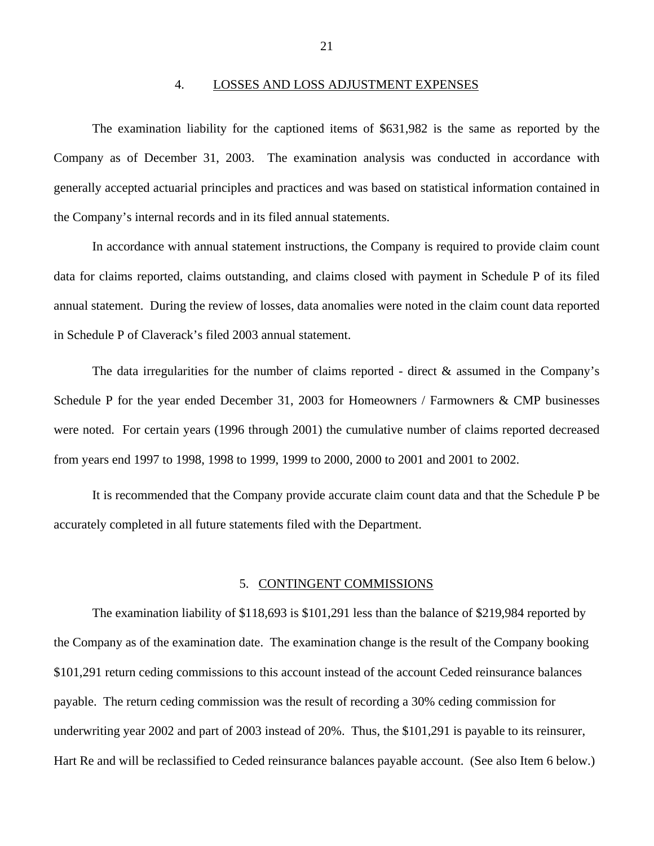### 4. LOSSES AND LOSS ADJUSTMENT EXPENSES

<span id="page-22-0"></span>The examination liability for the captioned items of \$631,982 is the same as reported by the Company as of December 31, 2003. The examination analysis was conducted in accordance with generally accepted actuarial principles and practices and was based on statistical information contained in the Company's internal records and in its filed annual statements.

In accordance with annual statement instructions, the Company is required to provide claim count data for claims reported, claims outstanding, and claims closed with payment in Schedule P of its filed annual statement. During the review of losses, data anomalies were noted in the claim count data reported in Schedule P of Claverack's filed 2003 annual statement.

The data irregularities for the number of claims reported - direct  $\&$  assumed in the Company's Schedule P for the year ended December 31, 2003 for Homeowners / Farmowners & CMP businesses were noted. For certain years (1996 through 2001) the cumulative number of claims reported decreased from years end 1997 to 1998, 1998 to 1999, 1999 to 2000, 2000 to 2001 and 2001 to 2002.

It is recommended that the Company provide accurate claim count data and that the Schedule P be accurately completed in all future statements filed with the Department.

### 5. CONTINGENT COMMISSIONS

The examination liability of \$118,693 is \$101,291 less than the balance of \$219,984 reported by the Company as of the examination date. The examination change is the result of the Company booking \$101,291 return ceding commissions to this account instead of the account Ceded reinsurance balances payable. The return ceding commission was the result of recording a 30% ceding commission for underwriting year 2002 and part of 2003 instead of 20%. Thus, the \$101,291 is payable to its reinsurer, Hart Re and will be reclassified to Ceded reinsurance balances payable account. (See also Item 6 below.)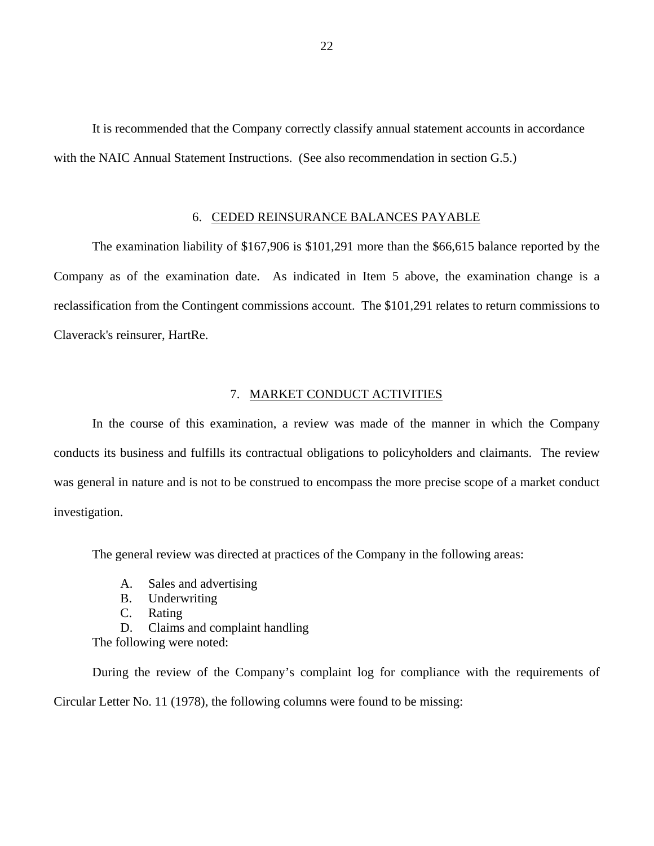<span id="page-23-0"></span>It is recommended that the Company correctly classify annual statement accounts in accordance with the NAIC Annual Statement Instructions. (See also recommendation in section G.5.)

### 6. CEDED REINSURANCE BALANCES PAYABLE

The examination liability of \$167,906 is \$101,291 more than the \$66,615 balance reported by the Company as of the examination date. As indicated in Item 5 above, the examination change is a reclassification from the Contingent commissions account. The \$101,291 relates to return commissions to Claverack's reinsurer, HartRe.

### 7. MARKET CONDUCT ACTIVITIES

In the course of this examination, a review was made of the manner in which the Company conducts its business and fulfills its contractual obligations to policyholders and claimants. The review was general in nature and is not to be construed to encompass the more precise scope of a market conduct investigation.

The general review was directed at practices of the Company in the following areas:

- A. Sales and advertising
- B. Underwriting
- C. Rating
- D. Claims and complaint handling
- The following were noted:

During the review of the Company's complaint log for compliance with the requirements of Circular Letter No. 11 (1978), the following columns were found to be missing: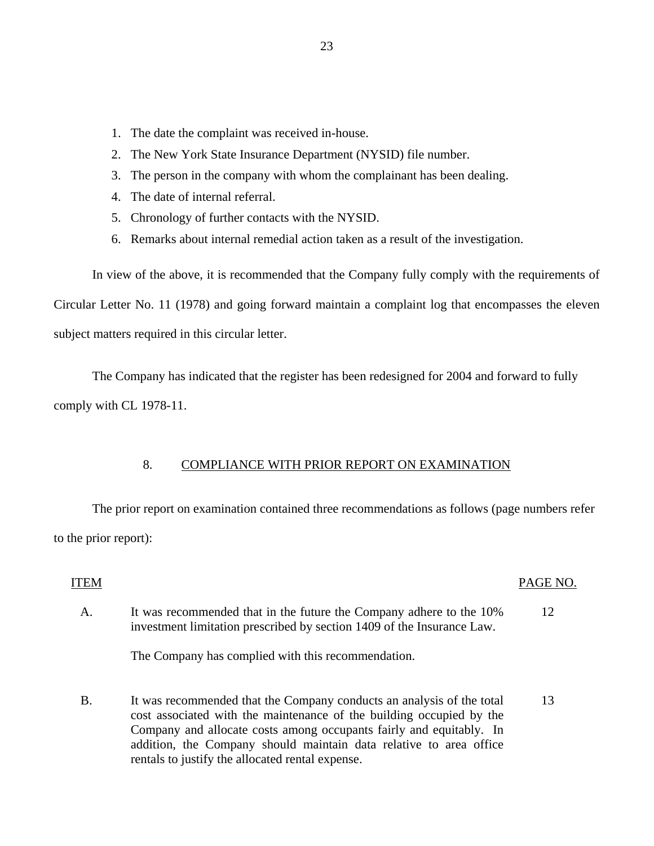- <span id="page-24-0"></span>1. The date the complaint was received in-house.
- 2. The New York State Insurance Department (NYSID) file number.
- 3. The person in the company with whom the complainant has been dealing.
- 4. The date of internal referral.
- 5. Chronology of further contacts with the NYSID.
- 6. Remarks about internal remedial action taken as a result of the investigation.

In view of the above, it is recommended that the Company fully comply with the requirements of Circular Letter No. 11 (1978) and going forward maintain a complaint log that encompasses the eleven subject matters required in this circular letter.

The Company has indicated that the register has been redesigned for 2004 and forward to fully comply with CL 1978-11.

## 8. COMPLIANCE WITH PRIOR REPORT ON EXAMINATION

The prior report on examination contained three recommendations as follows (page numbers refer to the prior report):

## **ITEM**

### PAGE NO.

A. It was recommended that in the future the Company adhere to the 10% 12 investment limitation prescribed by section 1409 of the Insurance Law.

The Company has complied with this recommendation.

B. It was recommended that the Company conducts an analysis of the total 13 cost associated with the maintenance of the building occupied by the Company and allocate costs among occupants fairly and equitably. In addition, the Company should maintain data relative to area office rentals to justify the allocated rental expense.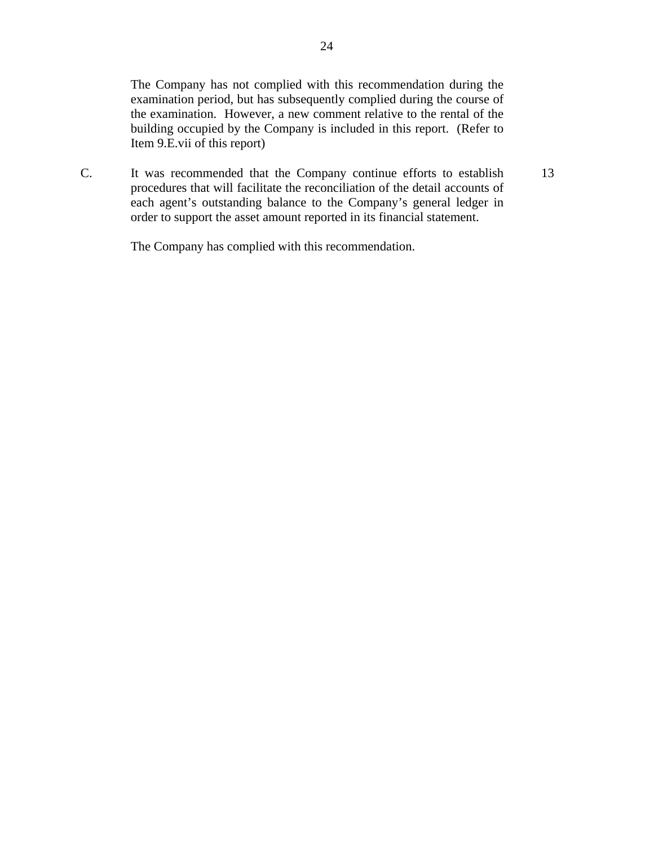The Company has not complied with this recommendation during the examination period, but has subsequently complied during the course of the examination. However, a new comment relative to the rental of the building occupied by the Company is included in this report. (Refer to Item 9.E.vii of this report)

13

C. It was recommended that the Company continue efforts to establish procedures that will facilitate the reconciliation of the detail accounts of each agent's outstanding balance to the Company's general ledger in order to support the asset amount reported in its financial statement.

The Company has complied with this recommendation.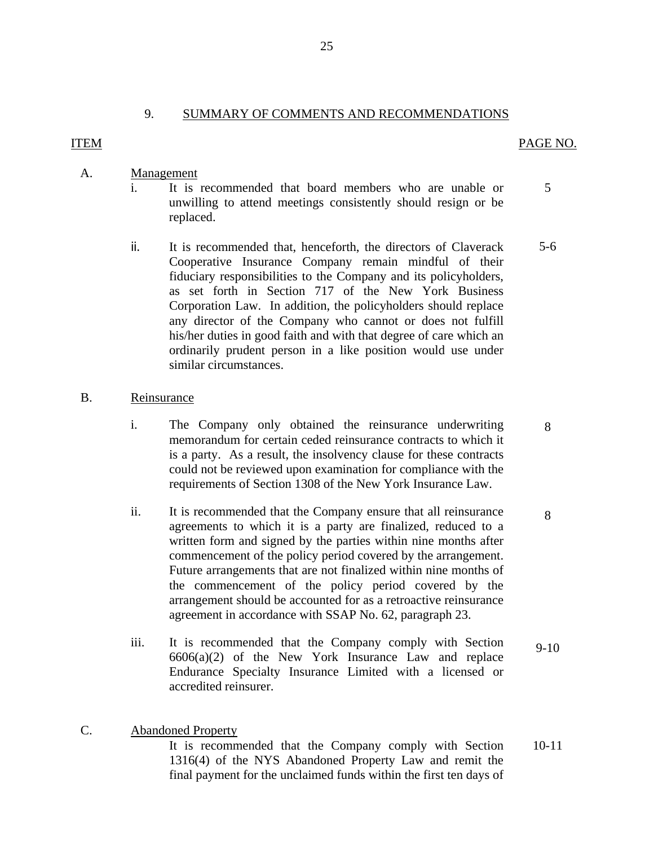## 9. SUMMARY OF COMMENTS AND RECOMMENDATIONS

### <span id="page-26-0"></span>**ITEM**

### ITEM PAGE NO.

## A. Management

- i. It is recommended that board members who are unable or 5 unwilling to attend meetings consistently should resign or be replaced.
- ii. It is recommended that, henceforth, the directors of Claverack 5-6 Cooperative Insurance Company remain mindful of their fiduciary responsibilities to the Company and its policyholders, as set forth in Section 717 of the New York Business Corporation Law. In addition, the policyholders should replace any director of the Company who cannot or does not fulfill his/her duties in good faith and with that degree of care which an ordinarily prudent person in a like position would use under similar circumstances.

### B. Reinsurance

- i. The Company only obtained the reinsurance underwriting 8 memorandum for certain ceded reinsurance contracts to which it is a party. As a result, the insolvency clause for these contracts could not be reviewed upon examination for compliance with the requirements of Section 1308 of the New York Insurance Law.
- ii. It is recommended that the Company ensure that all reinsurance 8 agreements to which it is a party are finalized, reduced to a written form and signed by the parties within nine months after commencement of the policy period covered by the arrangement. Future arrangements that are not finalized within nine months of the commencement of the policy period covered by the arrangement should be accounted for as a retroactive reinsurance agreement in accordance with SSAP No. 62, paragraph 23.
- iii. It is recommended that the Company comply with Section 9-10 6606(a)(2) of the New York Insurance Law and replace Endurance Specialty Insurance Limited with a licensed or accredited reinsurer.

### C. Abandoned Property

It is recommended that the Company comply with Section 10-11 1316(4) of the NYS Abandoned Property Law and remit the final payment for the unclaimed funds within the first ten days of

- 
-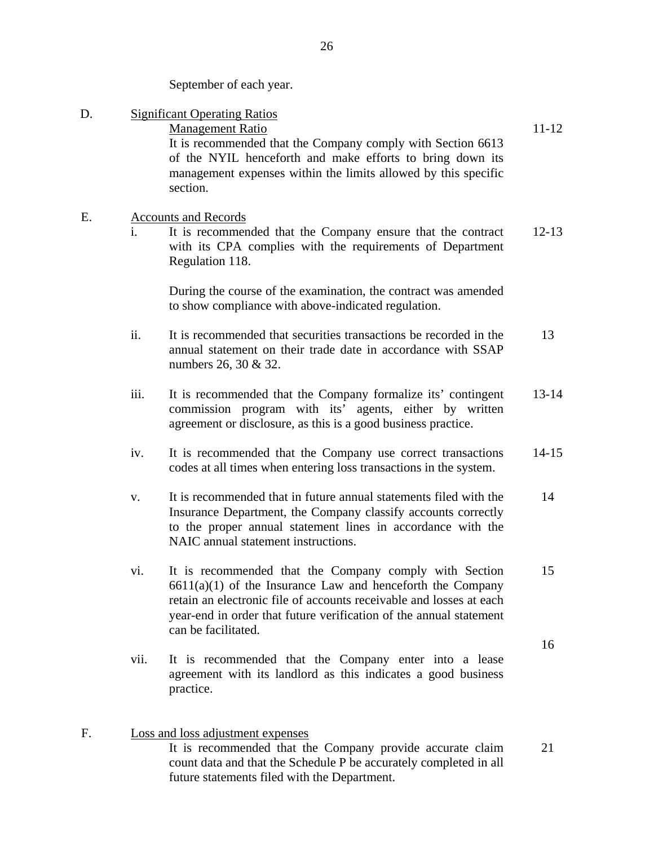September of each year.

| D. |                | <b>Significant Operating Ratios</b><br><b>Management Ratio</b><br>It is recommended that the Company comply with Section 6613<br>of the NYIL henceforth and make efforts to bring down its<br>management expenses within the limits allowed by this specific<br>section.                   | 11-12     |
|----|----------------|--------------------------------------------------------------------------------------------------------------------------------------------------------------------------------------------------------------------------------------------------------------------------------------------|-----------|
| Ε. | $\mathbf{i}$ . | <b>Accounts and Records</b><br>It is recommended that the Company ensure that the contract<br>with its CPA complies with the requirements of Department<br>Regulation 118.                                                                                                                 | $12 - 13$ |
|    |                | During the course of the examination, the contract was amended<br>to show compliance with above-indicated regulation.                                                                                                                                                                      |           |
|    | ii.            | It is recommended that securities transactions be recorded in the<br>annual statement on their trade date in accordance with SSAP<br>numbers 26, 30 & 32.                                                                                                                                  | 13        |
|    | iii.           | It is recommended that the Company formalize its' contingent<br>commission program with its' agents, either by written<br>agreement or disclosure, as this is a good business practice.                                                                                                    | $13 - 14$ |
|    | iv.            | It is recommended that the Company use correct transactions<br>codes at all times when entering loss transactions in the system.                                                                                                                                                           | $14 - 15$ |
|    | V.             | It is recommended that in future annual statements filed with the<br>Insurance Department, the Company classify accounts correctly<br>to the proper annual statement lines in accordance with the<br>NAIC annual statement instructions.                                                   | 14        |
|    | vi.            | It is recommended that the Company comply with Section<br>$6611(a)(1)$ of the Insurance Law and henceforth the Company<br>retain an electronic file of accounts receivable and losses at each<br>year-end in order that future verification of the annual statement<br>can be facilitated. | 15        |
|    | vii.           | It is recommended that the Company enter into a lease<br>agreement with its landlord as this indicates a good business<br>practice.                                                                                                                                                        | 16        |
| F. |                | Loss and loss adjustment expenses<br>It is recommended that the Company provide accurate claim<br>count data and that the Schedule P be accurately completed in all<br>future statements filed with the Department.                                                                        | 21        |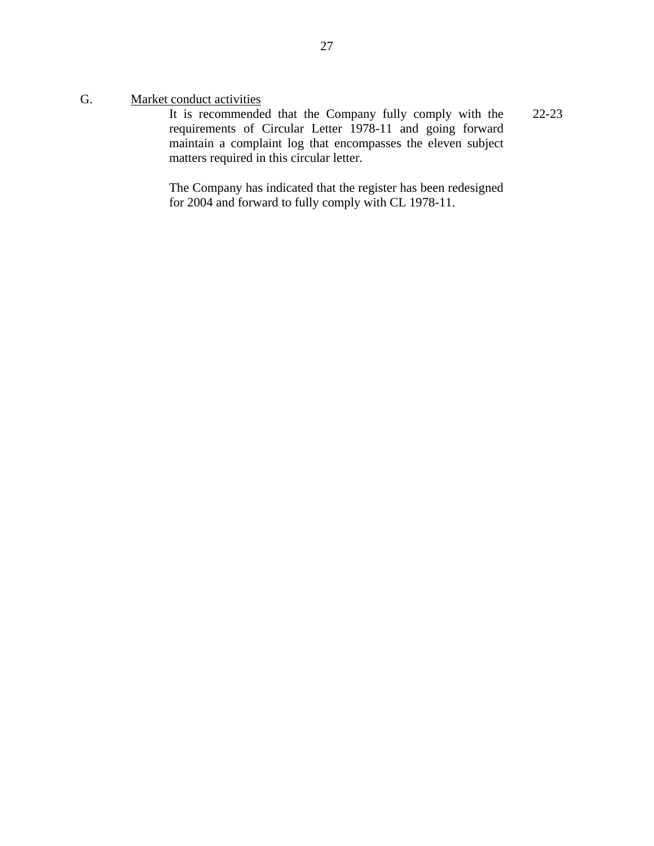G. Market conduct activities

It is recommended that the Company fully comply with the 22-23 requirements of Circular Letter 1978-11 and going forward maintain a complaint log that encompasses the eleven subject matters required in this circular letter.

The Company has indicated that the register has been redesigned for 2004 and forward to fully comply with CL 1978-11.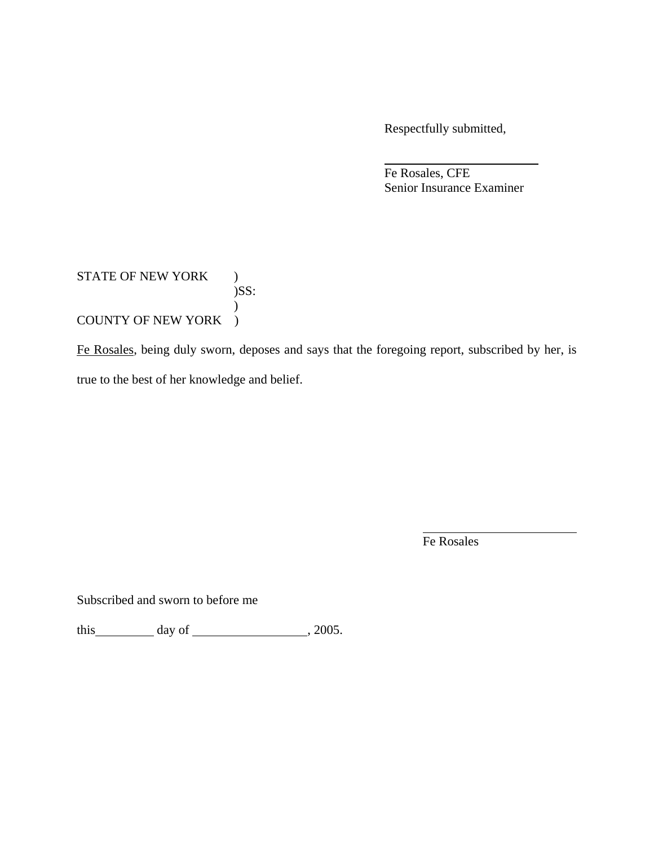Respectfully submitted,

 Fe Rosales, CFE Senior Insurance Examiner

## STATE OF NEW YORK )  $)$ SS:  $\mathcal{L}$ COUNTY OF NEW YORK )

Fe Rosales, being duly sworn, deposes and says that the foregoing report, subscribed by her, is true to the best of her knowledge and belief.

Fe Rosales

Subscribed and sworn to before me

this  $\qquad \qquad \text{day of} \qquad \qquad .2005.$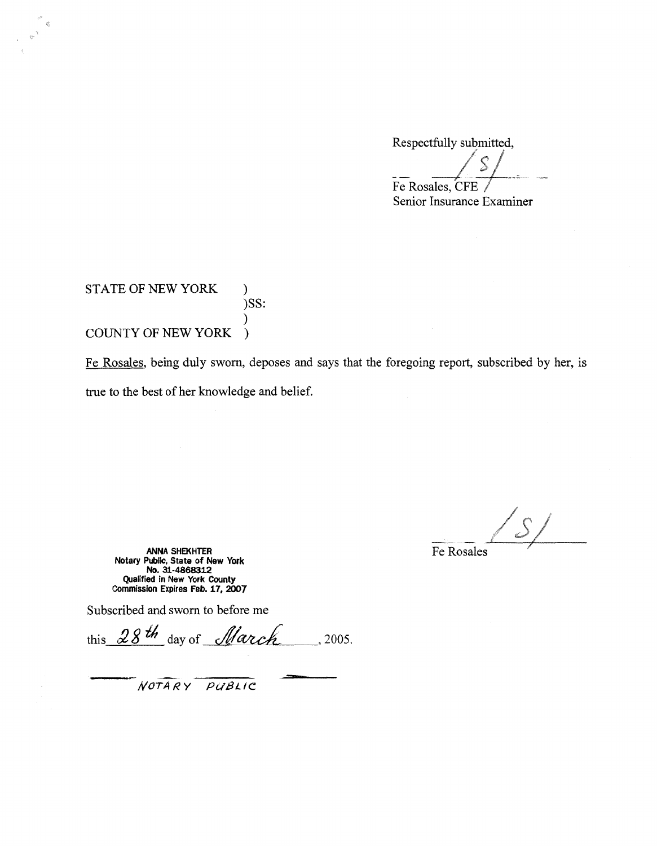Respectfully submitted,

 $\frac{\sqrt{s}}{1}$ Fe Rosales, CFE

Senior Insurance Examiner

STATE OF NEW YORK ) )SS: ) COUNTY OF NEW YORK )

.<br>E

Fe Rosales, being duly sworn, deposes and says that the foregoing report, subscribed by her, is true to the best of her knowledge and belief.

 $\mathcal{S}_\ell$ 

**ANNA SHEKHTER** Fe Rosales **Notary Publlc, State of New York No. 31-4868312 Qualified in New York County Commission Expires Feb. 17, 2007** 

Subscribed and sworn to before me

this  $28th$  day of *March* , 2005.

*NOTARY Pu8LIC*